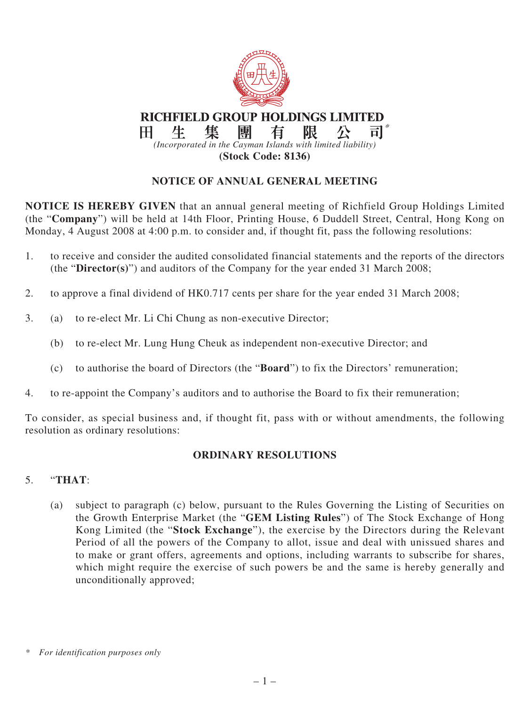

# **NOTICE OF ANNUAL GENERAL MEETING**

**NOTICE IS HEREBY GIVEN** that an annual general meeting of Richfield Group Holdings Limited (the "**Company**") will be held at 14th Floor, Printing House, 6 Duddell Street, Central, Hong Kong on Monday, 4 August 2008 at 4:00 p.m. to consider and, if thought fit, pass the following resolutions:

- 1. to receive and consider the audited consolidated financial statements and the reports of the directors (the "**Director(s)**") and auditors of the Company for the year ended 31 March 2008;
- 2. to approve a final dividend of HK0.717 cents per share for the year ended 31 March 2008;
- 3. (a) to re-elect Mr. Li Chi Chung as non-executive Director;
	- (b) to re-elect Mr. Lung Hung Cheuk as independent non-executive Director; and
	- (c) to authorise the board of Directors (the "**Board**") to fix the Directors' remuneration;
- 4. to re-appoint the Company's auditors and to authorise the Board to fix their remuneration;

To consider, as special business and, if thought fit, pass with or without amendments, the following resolution as ordinary resolutions:

#### **ORDINARY RESOLUTIONS**

### 5. "**THAT**:

(a) subject to paragraph (c) below, pursuant to the Rules Governing the Listing of Securities on the Growth Enterprise Market (the "**GEM Listing Rules**") of The Stock Exchange of Hong Kong Limited (the "**Stock Exchange**"), the exercise by the Directors during the Relevant Period of all the powers of the Company to allot, issue and deal with unissued shares and to make or grant offers, agreements and options, including warrants to subscribe for shares, which might require the exercise of such powers be and the same is hereby generally and unconditionally approved;

*<sup>\*</sup> For identification purposes only*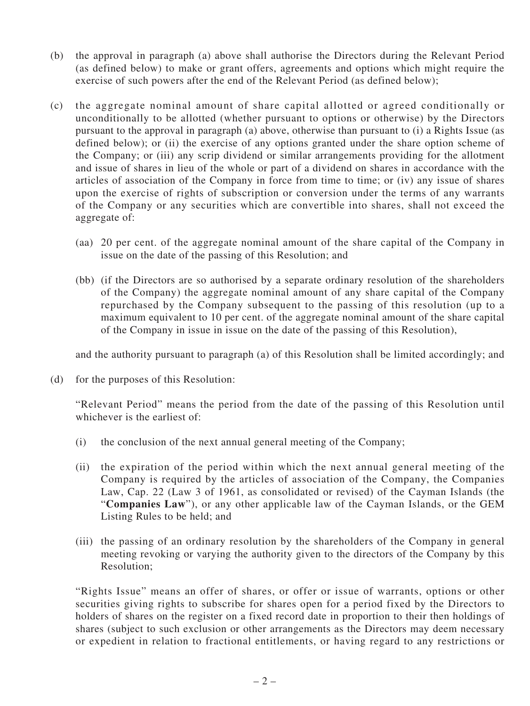- (b) the approval in paragraph (a) above shall authorise the Directors during the Relevant Period (as defined below) to make or grant offers, agreements and options which might require the exercise of such powers after the end of the Relevant Period (as defined below);
- (c) the aggregate nominal amount of share capital allotted or agreed conditionally or unconditionally to be allotted (whether pursuant to options or otherwise) by the Directors pursuant to the approval in paragraph (a) above, otherwise than pursuant to (i) a Rights Issue (as defined below); or (ii) the exercise of any options granted under the share option scheme of the Company; or (iii) any scrip dividend or similar arrangements providing for the allotment and issue of shares in lieu of the whole or part of a dividend on shares in accordance with the articles of association of the Company in force from time to time; or (iv) any issue of shares upon the exercise of rights of subscription or conversion under the terms of any warrants of the Company or any securities which are convertible into shares, shall not exceed the aggregate of:
	- (aa) 20 per cent. of the aggregate nominal amount of the share capital of the Company in issue on the date of the passing of this Resolution; and
	- (bb) (if the Directors are so authorised by a separate ordinary resolution of the shareholders of the Company) the aggregate nominal amount of any share capital of the Company repurchased by the Company subsequent to the passing of this resolution (up to a maximum equivalent to 10 per cent. of the aggregate nominal amount of the share capital of the Company in issue in issue on the date of the passing of this Resolution),

and the authority pursuant to paragraph (a) of this Resolution shall be limited accordingly; and

(d) for the purposes of this Resolution:

"Relevant Period" means the period from the date of the passing of this Resolution until whichever is the earliest of:

- (i) the conclusion of the next annual general meeting of the Company;
- (ii) the expiration of the period within which the next annual general meeting of the Company is required by the articles of association of the Company, the Companies Law, Cap. 22 (Law 3 of 1961, as consolidated or revised) of the Cayman Islands (the "**Companies Law**"), or any other applicable law of the Cayman Islands, or the GEM Listing Rules to be held; and
- (iii) the passing of an ordinary resolution by the shareholders of the Company in general meeting revoking or varying the authority given to the directors of the Company by this Resolution;

"Rights Issue" means an offer of shares, or offer or issue of warrants, options or other securities giving rights to subscribe for shares open for a period fixed by the Directors to holders of shares on the register on a fixed record date in proportion to their then holdings of shares (subject to such exclusion or other arrangements as the Directors may deem necessary or expedient in relation to fractional entitlements, or having regard to any restrictions or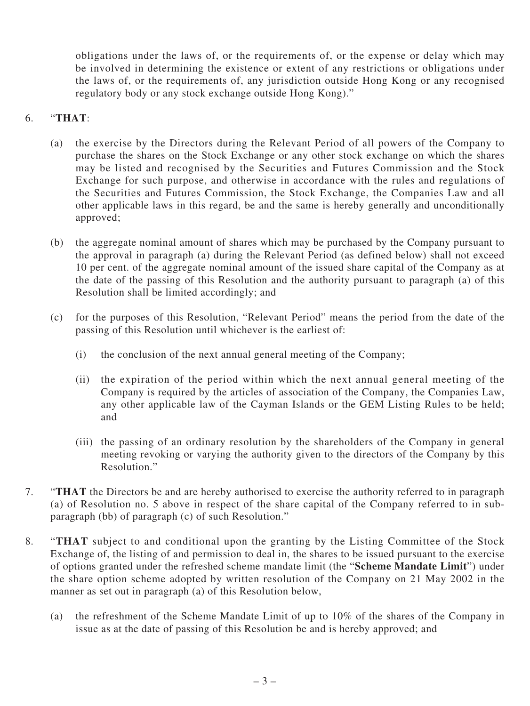obligations under the laws of, or the requirements of, or the expense or delay which may be involved in determining the existence or extent of any restrictions or obligations under the laws of, or the requirements of, any jurisdiction outside Hong Kong or any recognised regulatory body or any stock exchange outside Hong Kong)."

## 6. "**THAT**:

- (a) the exercise by the Directors during the Relevant Period of all powers of the Company to purchase the shares on the Stock Exchange or any other stock exchange on which the shares may be listed and recognised by the Securities and Futures Commission and the Stock Exchange for such purpose, and otherwise in accordance with the rules and regulations of the Securities and Futures Commission, the Stock Exchange, the Companies Law and all other applicable laws in this regard, be and the same is hereby generally and unconditionally approved;
- (b) the aggregate nominal amount of shares which may be purchased by the Company pursuant to the approval in paragraph (a) during the Relevant Period (as defined below) shall not exceed 10 per cent. of the aggregate nominal amount of the issued share capital of the Company as at the date of the passing of this Resolution and the authority pursuant to paragraph (a) of this Resolution shall be limited accordingly; and
- (c) for the purposes of this Resolution, "Relevant Period" means the period from the date of the passing of this Resolution until whichever is the earliest of:
	- (i) the conclusion of the next annual general meeting of the Company;
	- (ii) the expiration of the period within which the next annual general meeting of the Company is required by the articles of association of the Company, the Companies Law, any other applicable law of the Cayman Islands or the GEM Listing Rules to be held; and
	- (iii) the passing of an ordinary resolution by the shareholders of the Company in general meeting revoking or varying the authority given to the directors of the Company by this Resolution."
- 7. "**THAT** the Directors be and are hereby authorised to exercise the authority referred to in paragraph (a) of Resolution no. 5 above in respect of the share capital of the Company referred to in subparagraph (bb) of paragraph (c) of such Resolution."
- 8. "**THAT** subject to and conditional upon the granting by the Listing Committee of the Stock Exchange of, the listing of and permission to deal in, the shares to be issued pursuant to the exercise of options granted under the refreshed scheme mandate limit (the "**Scheme Mandate Limit**") under the share option scheme adopted by written resolution of the Company on 21 May 2002 in the manner as set out in paragraph (a) of this Resolution below,
	- (a) the refreshment of the Scheme Mandate Limit of up to 10% of the shares of the Company in issue as at the date of passing of this Resolution be and is hereby approved; and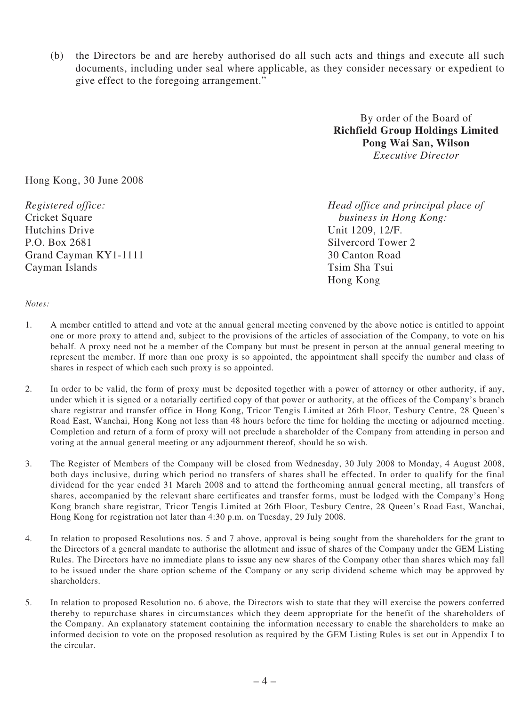(b) the Directors be and are hereby authorised do all such acts and things and execute all such documents, including under seal where applicable, as they consider necessary or expedient to give effect to the foregoing arrangement."

> By order of the Board of **Richfield Group Holdings Limited Pong Wai San, Wilson** *Executive Director*

Hong Kong, 30 June 2008

Hutchins Drive Unit 1209, 12/F. P.O. Box 2681 Silvercord Tower 2 Grand Cayman KY1-1111 30 Canton Road Cayman Islands Tsim Sha Tsui

*Registered office: Head office and principal place of* Cricket Square *business in Hong Kong:* Hong Kong

#### *Notes:*

- 1. A member entitled to attend and vote at the annual general meeting convened by the above notice is entitled to appoint one or more proxy to attend and, subject to the provisions of the articles of association of the Company, to vote on his behalf. A proxy need not be a member of the Company but must be present in person at the annual general meeting to represent the member. If more than one proxy is so appointed, the appointment shall specify the number and class of shares in respect of which each such proxy is so appointed.
- 2. In order to be valid, the form of proxy must be deposited together with a power of attorney or other authority, if any, under which it is signed or a notarially certified copy of that power or authority, at the offices of the Company's branch share registrar and transfer office in Hong Kong, Tricor Tengis Limited at 26th Floor, Tesbury Centre, 28 Queen's Road East, Wanchai, Hong Kong not less than 48 hours before the time for holding the meeting or adjourned meeting. Completion and return of a form of proxy will not preclude a shareholder of the Company from attending in person and voting at the annual general meeting or any adjournment thereof, should he so wish.
- 3. The Register of Members of the Company will be closed from Wednesday, 30 July 2008 to Monday, 4 August 2008, both days inclusive, during which period no transfers of shares shall be effected. In order to qualify for the final dividend for the year ended 31 March 2008 and to attend the forthcoming annual general meeting, all transfers of shares, accompanied by the relevant share certificates and transfer forms, must be lodged with the Company's Hong Kong branch share registrar, Tricor Tengis Limited at 26th Floor, Tesbury Centre, 28 Queen's Road East, Wanchai, Hong Kong for registration not later than 4:30 p.m. on Tuesday, 29 July 2008.
- 4. In relation to proposed Resolutions nos. 5 and 7 above, approval is being sought from the shareholders for the grant to the Directors of a general mandate to authorise the allotment and issue of shares of the Company under the GEM Listing Rules. The Directors have no immediate plans to issue any new shares of the Company other than shares which may fall to be issued under the share option scheme of the Company or any scrip dividend scheme which may be approved by shareholders.
- 5. In relation to proposed Resolution no. 6 above, the Directors wish to state that they will exercise the powers conferred thereby to repurchase shares in circumstances which they deem appropriate for the benefit of the shareholders of the Company. An explanatory statement containing the information necessary to enable the shareholders to make an informed decision to vote on the proposed resolution as required by the GEM Listing Rules is set out in Appendix I to the circular.